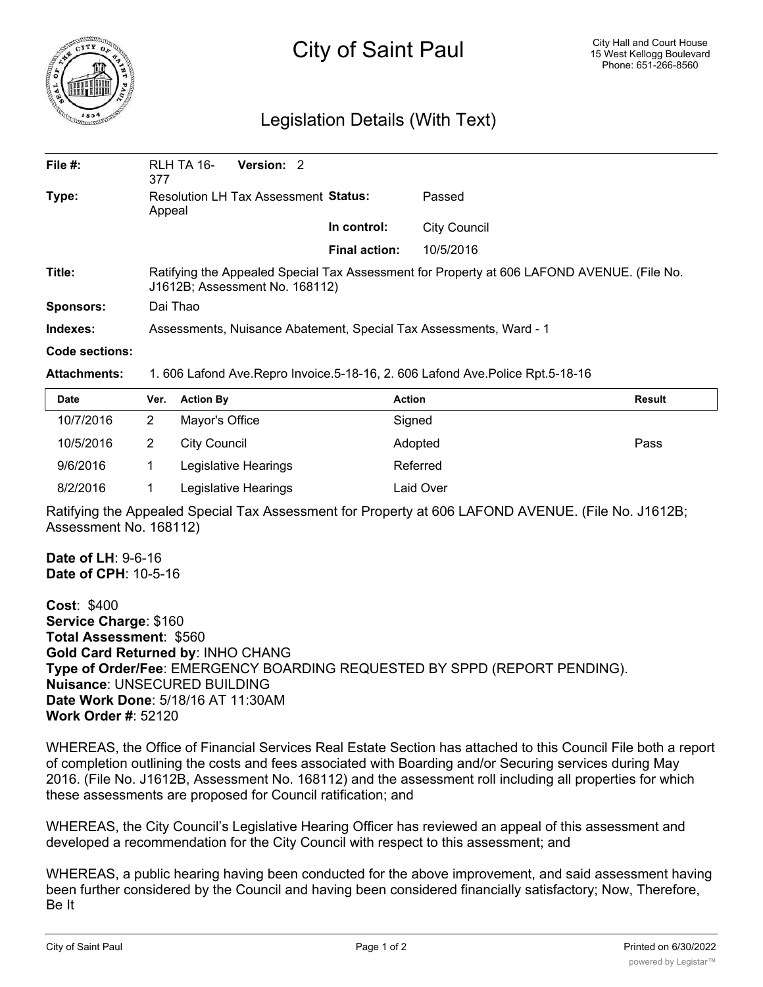

## City of Saint Paul

## Legislation Details (With Text)

| File $#$ :       | RLH TA 16-<br>377                                                                                                            | Version: 2 |                      |              |  |  |
|------------------|------------------------------------------------------------------------------------------------------------------------------|------------|----------------------|--------------|--|--|
| Type:            | Resolution LH Tax Assessment Status:<br>Appeal                                                                               |            |                      | Passed       |  |  |
|                  |                                                                                                                              |            | In control:          | City Council |  |  |
|                  |                                                                                                                              |            | <b>Final action:</b> | 10/5/2016    |  |  |
| Title:           | Ratifying the Appealed Special Tax Assessment for Property at 606 LAFOND AVENUE. (File No.<br>J1612B; Assessment No. 168112) |            |                      |              |  |  |
| <b>Sponsors:</b> | Dai Thao                                                                                                                     |            |                      |              |  |  |
| Indexes:         | Assessments, Nuisance Abatement, Special Tax Assessments, Ward - 1                                                           |            |                      |              |  |  |
| Code sections:   |                                                                                                                              |            |                      |              |  |  |

## **Attachments:** 1. 606 Lafond Ave.Repro Invoice.5-18-16, 2. 606 Lafond Ave.Police Rpt.5-18-16

| <b>Date</b> | Ver. | <b>Action By</b>     | <b>Action</b> | Result |
|-------------|------|----------------------|---------------|--------|
| 10/7/2016   |      | Mayor's Office       | Signed        |        |
| 10/5/2016   | 2    | City Council         | Adopted       | Pass   |
| 9/6/2016    |      | Legislative Hearings | Referred      |        |
| 8/2/2016    |      | Legislative Hearings | Laid Over     |        |

Ratifying the Appealed Special Tax Assessment for Property at 606 LAFOND AVENUE. (File No. J1612B; Assessment No. 168112)

**Date of LH**: 9-6-16 **Date of CPH**: 10-5-16

**Cost**: \$400 **Service Charge**: \$160 **Total Assessment**: \$560 **Gold Card Returned by**: INHO CHANG **Type of Order/Fee**: EMERGENCY BOARDING REQUESTED BY SPPD (REPORT PENDING). **Nuisance**: UNSECURED BUILDING **Date Work Done**: 5/18/16 AT 11:30AM **Work Order #**: 52120

WHEREAS, the Office of Financial Services Real Estate Section has attached to this Council File both a report of completion outlining the costs and fees associated with Boarding and/or Securing services during May 2016. (File No. J1612B, Assessment No. 168112) and the assessment roll including all properties for which these assessments are proposed for Council ratification; and

WHEREAS, the City Council's Legislative Hearing Officer has reviewed an appeal of this assessment and developed a recommendation for the City Council with respect to this assessment; and

WHEREAS, a public hearing having been conducted for the above improvement, and said assessment having been further considered by the Council and having been considered financially satisfactory; Now, Therefore, Be It